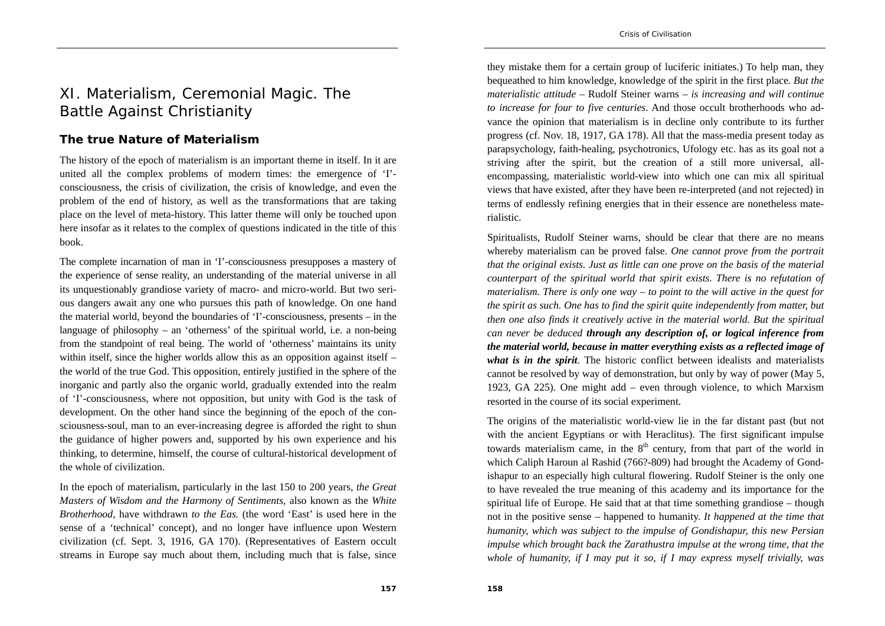## XI. Materialism, Ceremonial Magic. The Battle Against Christianity

## **The true Nature of Materialism**

The history of the epoch of materialism is an important theme in itself. In it are united all the complex problems of modern times: the emergence of 'I' consciousness, the crisis of civilization, the crisis of knowledge, and even the problem of the end of history, as well as the transformations that are taking place on the level of meta-history. This latter theme will only be touched upon here insofar as it relates to the complex of questions indicated in the title of this book.

The complete incarnation of man in 'I'-consciousness presupposes a mastery of the experience of sense reality, an understanding of the material universe in all its unquestionably grandiose variety of macro- and micro-world. But two serious dangers await any one who pursues this path of knowledge. On one hand the material world, beyond the boundaries of 'I'-consciousness, presents – in the language of philosophy – an 'otherness' of the spiritual world, i.e. a non-being from the standpoint of real being. The world of 'otherness' maintains its unity within itself, since the higher worlds allow this as an opposition against itself – the world of the true God. This opposition, entirely justified in the sphere of the inorganic and partly also the organic world, gradually extended into the realm of 'I'-consciousness, where not opposition, but unity with God is the task of development. On the other hand since the beginning of the epoch of the consciousness-soul, man to an ever-increasing degree is afforded the right to shun the guidance of higher powers and, supported by his own experience and his thinking, to determine, himself, the course of cultural-historical development of the whole of civilization.

In the epoch of materialism, particularly in the last 150 to 200 years, *the Great Masters of Wisdom and the Harmony of Sentiments*, also known as the *White Brotherhood,* have withdrawn *to the Eas.* (the word 'East' is used here in the sense of a 'technical' concept), and no longer have influence upon Western civilization (cf. Sept. 3, 1916, GA 170). (Representatives of Eastern occult streams in Europe say much about them, including much that is false, since

they mistake them for a certain group of luciferic initiates.) To help man, they bequeathed to him knowledge, knowledge of the spirit in the first place*. But the materialistic attitude* – Rudolf Steiner warns – *is increasing and will continue to increase for four to five centuries*. And those occult brotherhoods who advance the opinion that materialism is in decline only contribute to its further progress (cf. Nov. 18, 1917, GA 178). All that the mass-media present today as parapsychology, faith-healing, psychotronics, Ufology etc. has as its goal not a striving after the spirit, but the creation of a still more universal, allencompassing, materialistic world-view into which one can mix all spiritual views that have existed, after they have been re-interpreted (and not rejected) in terms of endlessly refining energies that in their essence are nonetheless materialistic.

Spiritualists, Rudolf Steiner warns, should be clear that there are no means whereby materialism can be proved false. *One cannot prove from the portrait that the original exists. Just as little can one prove on the basis of the material counterpart of the spiritual world that spirit exists. There is no refutation of materialism. There is only one way – to point to the will active in the quest for the spirit as such. One has to find the spirit quite independently from matter, but then one also finds it creatively active in the material world. But the spiritual can never be deduced through any description of, or logical inference from the material world, because in matter everything exists as a reflected image of what is in the spirit*. The historic conflict between idealists and materialists cannot be resolved by way of demonstration, but only by way of power (May 5, 1923, GA 225). One might add – even through violence, to which Marxism resorted in the course of its social experiment.

The origins of the materialistic world-view lie in the far distant past (but not with the ancient Egyptians or with Heraclitus). The first significant impulse towards materialism came, in the  $8<sup>th</sup>$  century, from that part of the world in which Caliph Haroun al Rashid (766?-809) had brought the Academy of Gondishapur to an especially high cultural flowering. Rudolf Steiner is the only one to have revealed the true meaning of this academy and its importance for the spiritual life of Europe. He said that at that time something grandiose – though not in the positive sense – happened to humanity. *It happened at the time that humanity, which was subject to the impulse of Gondishapur, this new Persian impulse which brought back the Zarathustra impulse at the wrong time, that the whole of humanity, if I may put it so, if I may express myself trivially, was*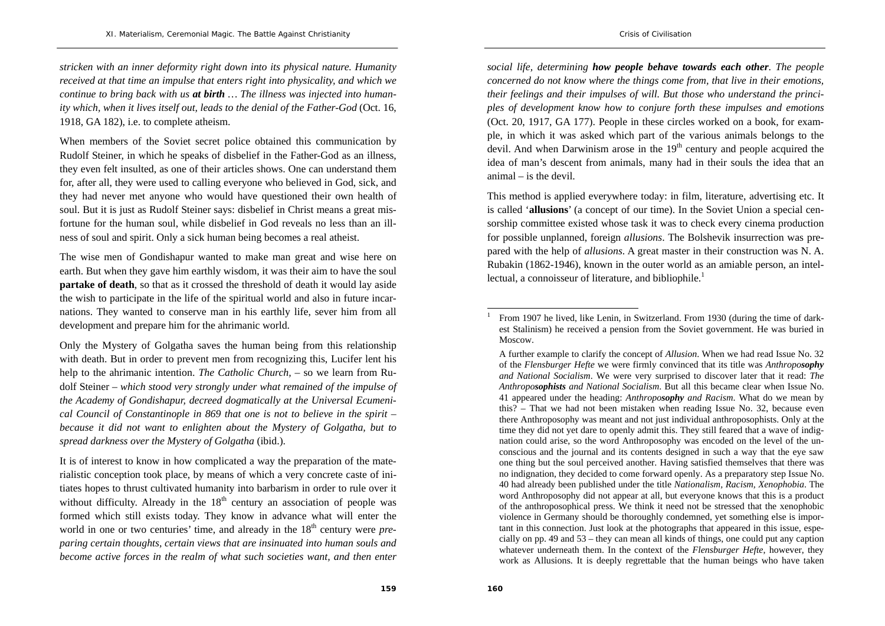*stricken with an inner deformity right down into its physical nature. Humanity received at that time an impulse that enters right into physicality, and which we continue to bring back with us at birth … The illness was injected into humanity which, when it lives itself out, leads to the denial of the Father-God* (Oct. 16, 1918, GA 182), i.e. to complete atheism.

When members of the Soviet secret police obtained this communication by Rudolf Steiner, in which he speaks of disbelief in the Father-God as an illness, they even felt insulted, as one of their articles shows. One can understand them for, after all, they were used to calling everyone who believed in God, sick, and they had never met anyone who would have questioned their own health of soul. But it is just as Rudolf Steiner says: disbelief in Christ means a great misfortune for the human soul, while disbelief in God reveals no less than an illness of soul and spirit. Only a sick human being becomes a real atheist.

The wise men of Gondishapur wanted to make man great and wise here on earth. But when they gave him earthly wisdom, it was their aim to have the soul **partake of death**, so that as it crossed the threshold of death it would lay aside the wish to participate in the life of the spiritual world and also in future incarnations. They wanted to conserve man in his earthly life, sever him from all development and prepare him for the ahrimanic world.

Only the Mystery of Golgatha saves the human being from this relationship with death. But in order to prevent men from recognizing this, Lucifer lent his help to the ahrimanic intention. *The Catholic Church*, – so we learn from Rudolf Steiner – *which stood very strongly under what remained of the impulse of the Academy of Gondishapur, decreed dogmatically at the Universal Ecumenical Council of Constantinople in 869 that one is not to believe in the spirit – because it did not want to enlighten about the Mystery of Golgatha, but to spread darkness over the Mystery of Golgatha* (ibid.).

It is of interest to know in how complicated a way the preparation of the materialistic conception took place, by means of which a very concrete caste of initiates hopes to thrust cultivated humanity into barbarism in order to rule over it without difficulty. Already in the  $18<sup>th</sup>$  century an association of people was formed which still exists today. They know in advance what will enter the world in one or two centuries' time, and already in the 18<sup>th</sup> century were *preparing certain thoughts, certain views that are insinuated into human souls and become active forces in the realm of what such societies want, and then enter* 

*social life, determining how people behave towards each other*. *The people concerned do not know where the things come from, that live in their emotions, their feelings and their impulses of will. But those who understand the principles of development know how to conjure forth these impulses and emotions* (Oct. 20, 1917, GA 177). People in these circles worked on a book, for example, in which it was asked which part of the various animals belongs to the devil. And when Darwinism arose in the  $19<sup>th</sup>$  century and people acquired the idea of man's descent from animals, many had in their souls the idea that an animal – is the devil.

This method is applied everywhere today: in film, literature, advertising etc. It is called '**allusions**' (a concept of our time). In the Soviet Union a special censorship committee existed whose task it was to check every cinema production for possible unplanned, foreign *allusions*. The Bolshevik insurrection was prepared with the help of *allusions*. A great master in their construction was N. A. Rubakin (1862-1946), known in the outer world as an amiable person, an intellectual, a connoisseur of literature, and bibliophile.<sup>1</sup>

<sup>1</sup> From 1907 he lived, like Lenin, in Switzerland. From 1930 (during the time of darkest Stalinism) he received a pension from the Soviet government. He was buried in Moscow.

A further example to clarify the concept of *Allusion*. When we had read Issue No. 32 of the *Flensburger Hefte* we were firmly convinced that its title was *Anthroposophy and National Socialism*. We were very surprised to discover later that it read: *The Anthroposophists and National Socialism*. But all this became clear when Issue No. 41 appeared under the heading: *Anthroposophy and Racism*. What do we mean by this? – That we had not been mistaken when reading Issue No. 32, because even there Anthroposophy was meant and not just individual anthroposophists. Only at the time they did not yet dare to openly admit this. They still feared that a wave of indignation could arise, so the word Anthroposophy was encoded on the level of the unconscious and the journal and its contents designed in such a way that the eye saw one thing but the soul perceived another. Having satisfied themselves that there was no indignation, they decided to come forward openly. As a preparatory step Issue No. 40 had already been published under the title *Nationalism, Racism, Xenophobia*. The word Anthroposophy did not appear at all, but everyone knows that this is a product of the anthroposophical press. We think it need not be stressed that the xenophobic violence in Germany should be thoroughly condemned, yet something else is important in this connection. Just look at the photographs that appeared in this issue, especially on pp. 49 and 53 – they can mean all kinds of things, one could put any caption whatever underneath them. In the context of the *Flensburger Hefte*, however, they work as Allusions. It is deeply regrettable that the human beings who have taken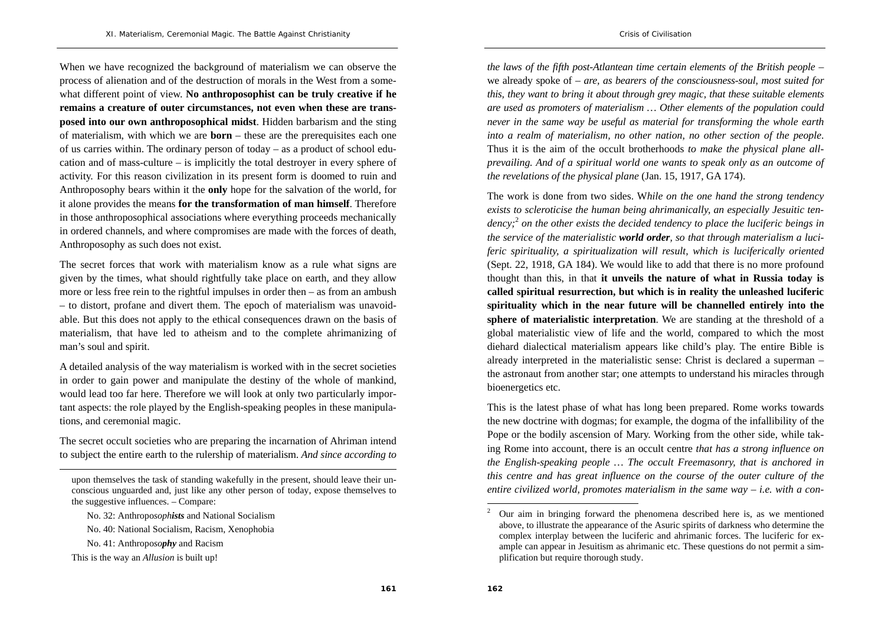When we have recognized the background of materialism we can observe the process of alienation and of the destruction of morals in the West from a somewhat different point of view. **No anthroposophist can be truly creative if he remains a creature of outer circumstances, not even when these are transposed into our own anthroposophical midst**. Hidden barbarism and the sting of materialism, with which we are **born** – these are the prerequisites each one of us carries within. The ordinary person of today – as a product of school education and of mass-culture  $-$  is implicitly the total destroyer in every sphere of activity. For this reason civilization in its present form is doomed to ruin and Anthroposophy bears within it the **only** hope for the salvation of the world, for it alone provides the means **for the transformation of man himself**. Therefore in those anthroposophical associations where everything proceeds mechanically in ordered channels, and where compromises are made with the forces of death, Anthroposophy as such does not exist.

The secret forces that work with materialism know as a rule what signs are given by the times, what should rightfully take place on earth, and they allow more or less free rein to the rightful impulses in order then – as from an ambush – to distort, profane and divert them. The epoch of materialism was unavoidable. But this does not apply to the ethical consequences drawn on the basis of materialism, that have led to atheism and to the complete ahrimanizing of man's soul and spirit.

A detailed analysis of the way materialism is worked with in the secret societies in order to gain power and manipulate the destiny of the whole of mankind, would lead too far here. Therefore we will look at only two particularly important aspects: the role played by the English-speaking peoples in these manipulations, and ceremonial magic.

The secret occult societies who are preparing the incarnation of Ahriman intend to subject the entire earth to the rulership of materialism. *And since according to*  *the laws of the fifth post-Atlantean time certain elements of the British people* – we already spoke of – *are, as bearers of the consciousness-soul, most suited for this, they want to bring it about through grey magic, that these suitable elements are used as promoters of materialism … Other elements of the population could never in the same way be useful as material for transforming the whole earth into a realm of materialism, no other nation, no other section of the people*. Thus it is the aim of the occult brotherhoods *to make the physical plane allprevailing. And of a spiritual world one wants to speak only as an outcome of the revelations of the physical plane* (Jan. 15, 1917, GA 174).

The work is done from two sides. W*hile on the one hand the strong tendency exists to scleroticise the human being ahrimanically, an especially Jesuitic tendency;*<sup>2</sup> *on the other exists the decided tendency to place the luciferic beings in the service of the materialistic world order, so that through materialism a luciferic spirituality, a spiritualization will result, which is luciferically oriented*  (Sept. 22, 1918, GA 184). We would like to add that there is no more profound thought than this, in that **it unveils the nature of what in Russia today is called spiritual resurrection, but which is in reality the unleashed luciferic spirituality which in the near future will be channelled entirely into the sphere of materialistic interpretation**. We are standing at the threshold of a global materialistic view of life and the world, compared to which the most diehard dialectical materialism appears like child's play. The entire Bible is already interpreted in the materialistic sense: Christ is declared a superman – the astronaut from another star; one attempts to understand his miracles through bioenergetics etc.

This is the latest phase of what has long been prepared. Rome works towards the new doctrine with dogmas; for example, the dogma of the infallibility of the Pope or the bodily ascension of Mary. Working from the other side, while taking Rome into account, there is an occult centre *that has a strong influence on the English-speaking people … The occult Freemasonry, that is anchored in this centre and has great influence on the course of the outer culture of the entire civilized world, promotes materialism in the same way – i.e. with a con-*

upon themselves the task of standing wakefully in the present, should leave their unconscious unguarded and, just like any other person of today, expose themselves to the suggestive influences. – Compare:

No. 32: Anthropo*sophists* and National Socialism

No. 40: National Socialism, Racism, Xenophobia

No. 41: Anthropo*sophy* and Racism

This is the way an *Allusion* is built up!

<sup>&</sup>lt;sup>2</sup> Our aim in bringing forward the phenomena described here is, as we mentioned above, to illustrate the appearance of the Asuric spirits of darkness who determine the complex interplay between the luciferic and ahrimanic forces. The luciferic for example can appear in Jesuitism as ahrimanic etc. These questions do not permit a simplification but require thorough study.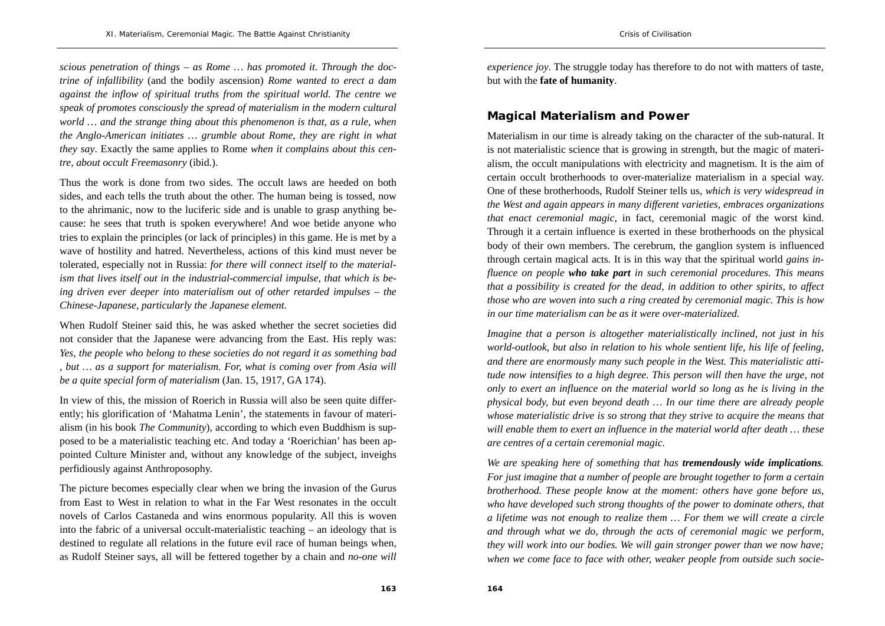*scious penetration of things – as Rome … has promoted it. Through the doctrine of infallibility* (and the bodily ascension) *Rome wanted to erect a dam against the inflow of spiritual truths from the spiritual world. The centre we speak of promotes consciously the spread of materialism in the modern cultural world … and the strange thing about this phenomenon is that, as a rule, when the Anglo-American initiates … grumble about Rome, they are right in what they say*. Exactly the same applies to Rome *when it complains about this centre, about occult Freemasonry* (ibid.).

Thus the work is done from two sides. The occult laws are heeded on both sides, and each tells the truth about the other. The human being is tossed, now to the ahrimanic, now to the luciferic side and is unable to grasp anything because: he sees that truth is spoken everywhere! And woe betide anyone who tries to explain the principles (or lack of principles) in this game. He is met by a wave of hostility and hatred. Nevertheless, actions of this kind must never be tolerated, especially not in Russia: *for there will connect itself to the materialism that lives itself out in the industrial-commercial impulse, that which is being driven ever deeper into materialism out of other retarded impulses – the Chinese-Japanese, particularly the Japanese element*.

When Rudolf Steiner said this, he was asked whether the secret societies did not consider that the Japanese were advancing from the East. His reply was: *Yes, the people who belong to these societies do not regard it as something bad , but … as a support for materialism. For, what is coming over from Asia will be a quite special form of materialism* (Jan. 15, 1917, GA 174).

In view of this, the mission of Roerich in Russia will also be seen quite differently; his glorification of 'Mahatma Lenin', the statements in favour of materialism (in his book *The Community*), according to which even Buddhism is supposed to be a materialistic teaching etc. And today a 'Roerichian' has been appointed Culture Minister and, without any knowledge of the subject, inveighs perfidiously against Anthroposophy.

The picture becomes especially clear when we bring the invasion of the Gurus from East to West in relation to what in the Far West resonates in the occult novels of Carlos Castaneda and wins enormous popularity. All this is woven into the fabric of a universal occult-materialistic teaching – an ideology that is destined to regulate all relations in the future evil race of human beings when, as Rudolf Steiner says, all will be fettered together by a chain and *no-one will* 

*experience joy.* The struggle today has therefore to do not with matters of taste, but with the **fate of humanity**.

## **Magical Materialism and Power**

Materialism in our time is already taking on the character of the sub-natural. It is not materialistic science that is growing in strength, but the magic of materialism, the occult manipulations with electricity and magnetism. It is the aim of certain occult brotherhoods to over-materialize materialism in a special way. One of these brotherhoods, Rudolf Steiner tells us, *which is very widespread in the West and again appears in many different varieties, embraces organizations that enact ceremonial magic*, in fact, ceremonial magic of the worst kind. Through it a certain influence is exerted in these brotherhoods on the physical body of their own members. The cerebrum, the ganglion system is influenced through certain magical acts. It is in this way that the spiritual world *gains influence on people who take part in such ceremonial procedures. This means that a possibility is created for the dead, in addition to other spirits, to affect those who are woven into such a ring created by ceremonial magic. This is how in our time materialism can be as it were over-materialized.* 

*Imagine that a person is altogether materialistically inclined, not just in his world-outlook, but also in relation to his whole sentient life, his life of feeling, and there are enormously many such people in the West. This materialistic attitude now intensifies to a high degree. This person will then have the urge, not only to exert an influence on the material world so long as he is living in the physical body, but even beyond death … In our time there are already people whose materialistic drive is so strong that they strive to acquire the means that will enable them to exert an influence in the material world after death … these are centres of a certain ceremonial magic.* 

*We are speaking here of something that has tremendously wide implications. For just imagine that a number of people are brought together to form a certain brotherhood. These people know at the moment: others have gone before us, who have developed such strong thoughts of the power to dominate others, that a lifetime was not enough to realize them … For them we will create a circle and through what we do, through the acts of ceremonial magic we perform, they will work into our bodies. We will gain stronger power than we now have; when we come face to face with other, weaker people from outside such socie-*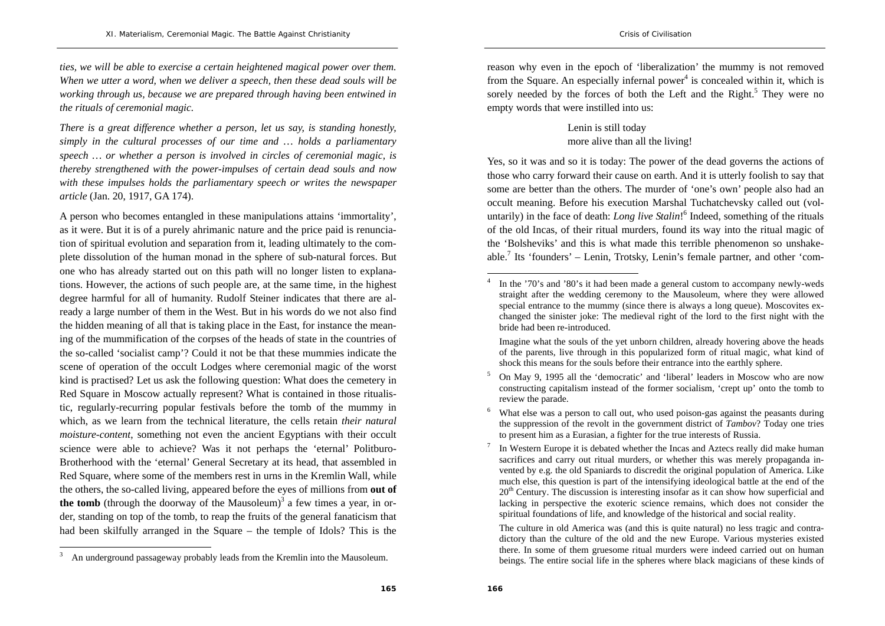*ties, we will be able to exercise a certain heightened magical power over them. When we utter a word, when we deliver a speech, then these dead souls will be working through us, because we are prepared through having been entwined in the rituals of ceremonial magic.* 

*There is a great difference whether a person, let us say, is standing honestly, simply in the cultural processes of our time and … holds a parliamentary speech … or whether a person is involved in circles of ceremonial magic, is thereby strengthened with the power-impulses of certain dead souls and now with these impulses holds the parliamentary speech or writes the newspaper article* (Jan. 20, 1917, GA 174).

A person who becomes entangled in these manipulations attains 'immortality', as it were. But it is of a purely ahrimanic nature and the price paid is renunciation of spiritual evolution and separation from it, leading ultimately to the complete dissolution of the human monad in the sphere of sub-natural forces. But one who has already started out on this path will no longer listen to explanations. However, the actions of such people are, at the same time, in the highest degree harmful for all of humanity. Rudolf Steiner indicates that there are already a large number of them in the West. But in his words do we not also find the hidden meaning of all that is taking place in the East, for instance the meaning of the mummification of the corpses of the heads of state in the countries of the so-called 'socialist camp'? Could it not be that these mummies indicate the scene of operation of the occult Lodges where ceremonial magic of the worst kind is practised? Let us ask the following question: What does the cemetery in Red Square in Moscow actually represent? What is contained in those ritualistic, regularly-recurring popular festivals before the tomb of the mummy in which, as we learn from the technical literature, the cells retain *their natural moisture-content*, something not even the ancient Egyptians with their occult science were able to achieve? Was it not perhaps the 'eternal' Politburo-Brotherhood with the 'eternal' General Secretary at its head, that assembled in Red Square, where some of the members rest in urns in the Kremlin Wall, while the others, the so-called living, appeared before the eyes of millions from **out of the tomb** (through the doorway of the Mausoleum)<sup>3</sup> a few times a year, in order, standing on top of the tomb, to reap the fruits of the general fanaticism that had been skilfully arranged in the Square – the temple of Idols? This is the reason why even in the epoch of 'liberalization' the mummy is not removed from the Square. An especially infermal power<sup>4</sup> is concealed within it, which is sorely needed by the forces of both the Left and the Right.<sup>5</sup> They were no empty words that were instilled into us:

> Lenin is still today more alive than all the living!

Yes, so it was and so it is today: The power of the dead governs the actions of those who carry forward their cause on earth. And it is utterly foolish to say that some are better than the others. The murder of 'one's own' people also had an occult meaning. Before his execution Marshal Tuchatchevsky called out (voluntarily) in the face of death: *Long live Stalin*!<sup>6</sup> Indeed, something of the rituals of the old Incas, of their ritual murders, found its way into the ritual magic of the 'Bolsheviks' and this is what made this terrible phenomenon so unshakeable.<sup>7</sup> Its 'founders' – Lenin, Trotsky, Lenin's female partner, and other 'com-

<sup>&</sup>lt;sup>3</sup> An underground passageway probably leads from the Kremlin into the Mausoleum.

In the '70's and '80's it had been made a general custom to accompany newly-weds straight after the wedding ceremony to the Mausoleum, where they were allowed special entrance to the mummy (since there is always a long queue). Moscovites exchanged the sinister joke: The medieval right of the lord to the first night with the bride had been re-introduced.

Imagine what the souls of the yet unborn children, already hovering above the heads of the parents, live through in this popularized form of ritual magic, what kind of shock this means for the souls before their entrance into the earthly sphere.

<sup>5</sup> On May 9, 1995 all the 'democratic' and 'liberal' leaders in Moscow who are now constructing capitalism instead of the former socialism, 'crept up' onto the tomb to review the parade.

What else was a person to call out, who used poison-gas against the peasants during the suppression of the revolt in the government district of *Tambov*? Today one tries to present him as a Eurasian, a fighter for the true interests of Russia.

In Western Europe it is debated whether the Incas and Aztecs really did make human sacrifices and carry out ritual murders, or whether this was merely propaganda invented by e.g. the old Spaniards to discredit the original population of America. Like much else, this question is part of the intensifying ideological battle at the end of the  $20<sup>th</sup>$  Century. The discussion is interesting insofar as it can show how superficial and lacking in perspective the exoteric science remains, which does not consider the spiritual foundations of life, and knowledge of the historical and social reality.

The culture in old America was (and this is quite natural) no less tragic and contradictory than the culture of the old and the new Europe. Various mysteries existed there. In some of them gruesome ritual murders were indeed carried out on human beings. The entire social life in the spheres where black magicians of these kinds of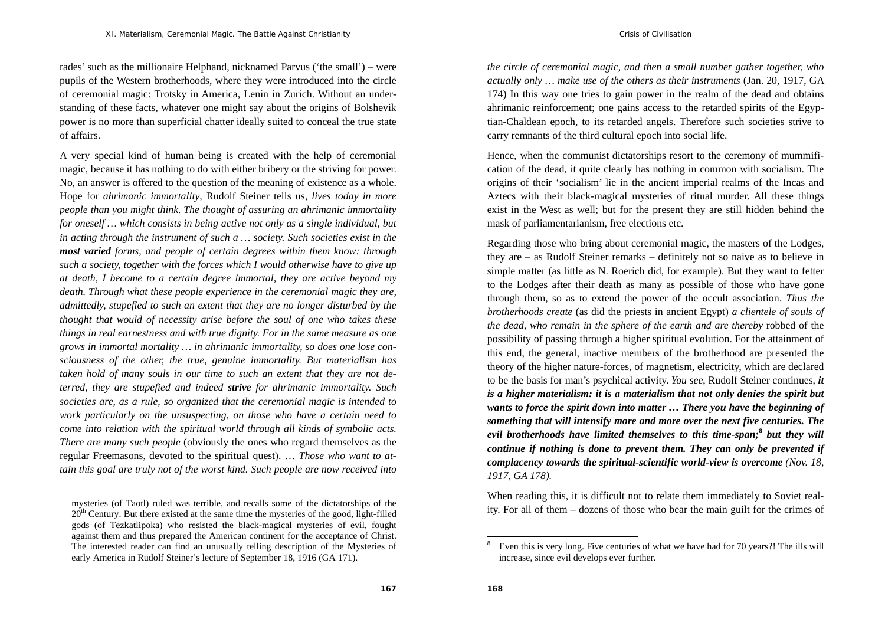rades' such as the millionaire Helphand, nicknamed Parvus ('the small') – were pupils of the Western brotherhoods, where they were introduced into the circle of ceremonial magic: Trotsky in America, Lenin in Zurich. Without an understanding of these facts, whatever one might say about the origins of Bolshevik power is no more than superficial chatter ideally suited to conceal the true state of affairs.

A very special kind of human being is created with the help of ceremonial magic, because it has nothing to do with either bribery or the striving for power. No, an answer is offered to the question of the meaning of existence as a whole. Hope for *ahrimanic immortality*, Rudolf Steiner tells us, *lives today in more people than you might think. The thought of assuring an ahrimanic immortality for oneself … which consists in being active not only as a single individual, but in acting through the instrument of such a … society. Such societies exist in the most varied forms, and people of certain degrees within them know: through such a society, together with the forces which I would otherwise have to give up at death, I become to a certain degree immortal, they are active beyond my death. Through what these people experience in the ceremonial magic they are, admittedly, stupefied to such an extent that they are no longer disturbed by the thought that would of necessity arise before the soul of one who takes these things in real earnestness and with true dignity. For in the same measure as one grows in immortal mortality … in ahrimanic immortality, so does one lose consciousness of the other, the true, genuine immortality. But materialism has taken hold of many souls in our time to such an extent that they are not deterred, they are stupefied and indeed strive for ahrimanic immortality. Such societies are, as a rule, so organized that the ceremonial magic is intended to work particularly on the unsuspecting, on those who have a certain need to come into relation with the spiritual world through all kinds of symbolic acts. There are many such people* (obviously the ones who regard themselves as the regular Freemasons, devoted to the spiritual quest). … *Those who want to attain this goal are truly not of the worst kind. Such people are now received into* 

*the circle of ceremonial magic, and then a small number gather together, who actually only … make use of the others as their instruments* (Jan. 20, 1917, GA 174) In this way one tries to gain power in the realm of the dead and obtains ahrimanic reinforcement; one gains access to the retarded spirits of the Egyptian-Chaldean epoch, to its retarded angels. Therefore such societies strive to carry remnants of the third cultural epoch into social life.

Hence, when the communist dictatorships resort to the ceremony of mummification of the dead, it quite clearly has nothing in common with socialism. The origins of their 'socialism' lie in the ancient imperial realms of the Incas and Aztecs with their black-magical mysteries of ritual murder. All these things exist in the West as well; but for the present they are still hidden behind the mask of parliamentarianism, free elections etc.

Regarding those who bring about ceremonial magic, the masters of the Lodges, they are – as Rudolf Steiner remarks – definitely not so naive as to believe in simple matter (as little as N. Roerich did, for example). But they want to fetter to the Lodges after their death as many as possible of those who have gone through them, so as to extend the power of the occult association. *Thus the brotherhoods create* (as did the priests in ancient Egypt) *a clientele of souls of the dead, who remain in the sphere of the earth and are thereby* robbed of the possibility of passing through a higher spiritual evolution. For the attainment of this end, the general, inactive members of the brotherhood are presented the theory of the higher nature-forces, of magnetism, electricity, which are declared to be the basis for man's psychical activity. *You see*, Rudolf Steiner continues, *it is a higher materialism: it is a materialism that not only denies the spirit but wants to force the spirit down into matter … There you have the beginning of something that will intensify more and more over the next five centuries. The evil brotherhoods have limited themselves to this time-span;***<sup>8</sup>** *but they will continue if nothing is done to prevent them. They can only be prevented if complacency towards the spiritual-scientific world-view is overcome (Nov. 18, 1917, GA 178).* 

When reading this, it is difficult not to relate them immediately to Soviet reality. For all of them – dozens of those who bear the main guilt for the crimes of

mysteries (of Taotl) ruled was terrible, and recalls some of the dictatorships of the  $20<sup>th</sup>$  Century. But there existed at the same time the mysteries of the good, light-filled gods (of Tezkatlipoka) who resisted the black-magical mysteries of evil, fought against them and thus prepared the American continent for the acceptance of Christ. The interested reader can find an unusually telling description of the Mysteries of early America in Rudolf Steiner's lecture of September 18, 1916 (GA 171).

<sup>8</sup> Even this is very long. Five centuries of what we have had for 70 years?! The ills will increase, since evil develops ever further.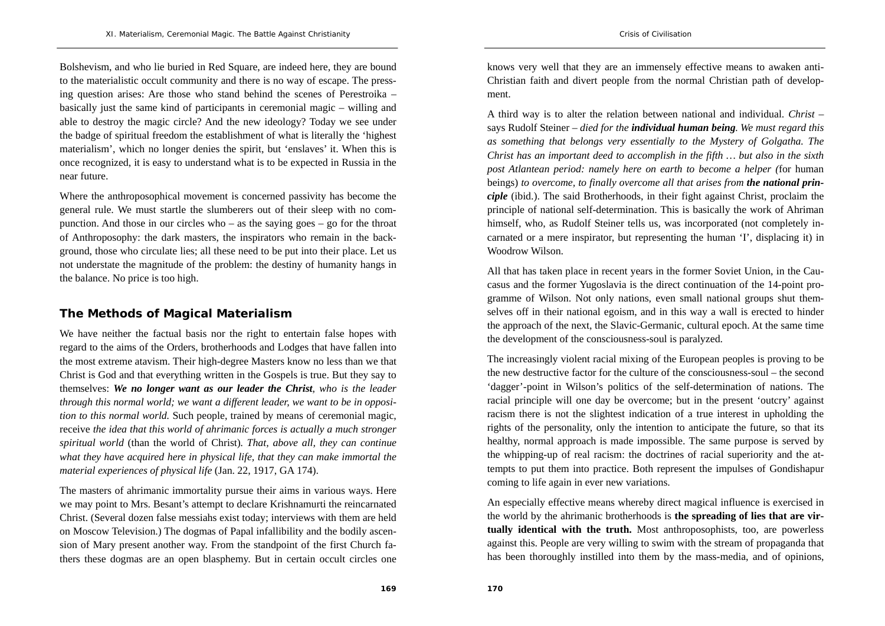Bolshevism, and who lie buried in Red Square, are indeed here, they are bound to the materialistic occult community and there is no way of escape. The pressing question arises: Are those who stand behind the scenes of Perestroika – basically just the same kind of participants in ceremonial magic – willing and able to destroy the magic circle? And the new ideology? Today we see under the badge of spiritual freedom the establishment of what is literally the 'highest materialism', which no longer denies the spirit, but 'enslaves' it. When this is once recognized, it is easy to understand what is to be expected in Russia in the near future.

Where the anthroposophical movement is concerned passivity has become the general rule. We must startle the slumberers out of their sleep with no compunction. And those in our circles who – as the saying goes – go for the throat of Anthroposophy: the dark masters, the inspirators who remain in the background, those who circulate lies; all these need to be put into their place. Let us not understate the magnitude of the problem: the destiny of humanity hangs in the balance. No price is too high.

## **The Methods of Magical Materialism**

We have neither the factual basis nor the right to entertain false hopes with regard to the aims of the Orders, brotherhoods and Lodges that have fallen into the most extreme atavism. Their high-degree Masters know no less than we that Christ is God and that everything written in the Gospels is true. But they say to themselves: *We no longer want as our leader the Christ*, *who is the leader through this normal world; we want a different leader, we want to be in opposition to this normal world.* Such people, trained by means of ceremonial magic, receive *the idea that this world of ahrimanic forces is actually a much stronger spiritual world* (than the world of Christ)*. That, above all, they can continue what they have acquired here in physical life, that they can make immortal the material experiences of physical life* (Jan. 22, 1917, GA 174).

The masters of ahrimanic immortality pursue their aims in various ways. Here we may point to Mrs. Besant's attempt to declare Krishnamurti the reincarnated Christ. (Several dozen false messiahs exist today; interviews with them are held on Moscow Television.) The dogmas of Papal infallibility and the bodily ascension of Mary present another way. From the standpoint of the first Church fathers these dogmas are an open blasphemy. But in certain occult circles one

knows very well that they are an immensely effective means to awaken anti-Christian faith and divert people from the normal Christian path of development.

A third way is to alter the relation between national and individual. *Christ –*  says Rudolf Steiner *– died for the individual human being. We must regard this as something that belongs very essentially to the Mystery of Golgatha. The Christ has an important deed to accomplish in the fifth … but also in the sixth post Atlantean period: namely here on earth to become a helper (*for human beings) *to overcome, to finally overcome all that arises from the national principle* (ibid.). The said Brotherhoods, in their fight against Christ, proclaim the principle of national self-determination. This is basically the work of Ahriman himself, who, as Rudolf Steiner tells us, was incorporated (not completely incarnated or a mere inspirator, but representing the human 'I', displacing it) in Woodrow Wilson.

All that has taken place in recent years in the former Soviet Union, in the Caucasus and the former Yugoslavia is the direct continuation of the 14-point programme of Wilson. Not only nations, even small national groups shut themselves off in their national egoism, and in this way a wall is erected to hinder the approach of the next, the Slavic-Germanic, cultural epoch. At the same time the development of the consciousness-soul is paralyzed.

The increasingly violent racial mixing of the European peoples is proving to be the new destructive factor for the culture of the consciousness-soul – the second 'dagger'-point in Wilson's politics of the self-determination of nations. The racial principle will one day be overcome; but in the present 'outcry' against racism there is not the slightest indication of a true interest in upholding the rights of the personality, only the intention to anticipate the future, so that its healthy, normal approach is made impossible. The same purpose is served by the whipping-up of real racism: the doctrines of racial superiority and the attempts to put them into practice. Both represent the impulses of Gondishapur coming to life again in ever new variations.

An especially effective means whereby direct magical influence is exercised in the world by the ahrimanic brotherhoods is **the spreading of lies that are virtually identical with the truth.** Most anthroposophists, too, are powerless against this. People are very willing to swim with the stream of propaganda that has been thoroughly instilled into them by the mass-media, and of opinions,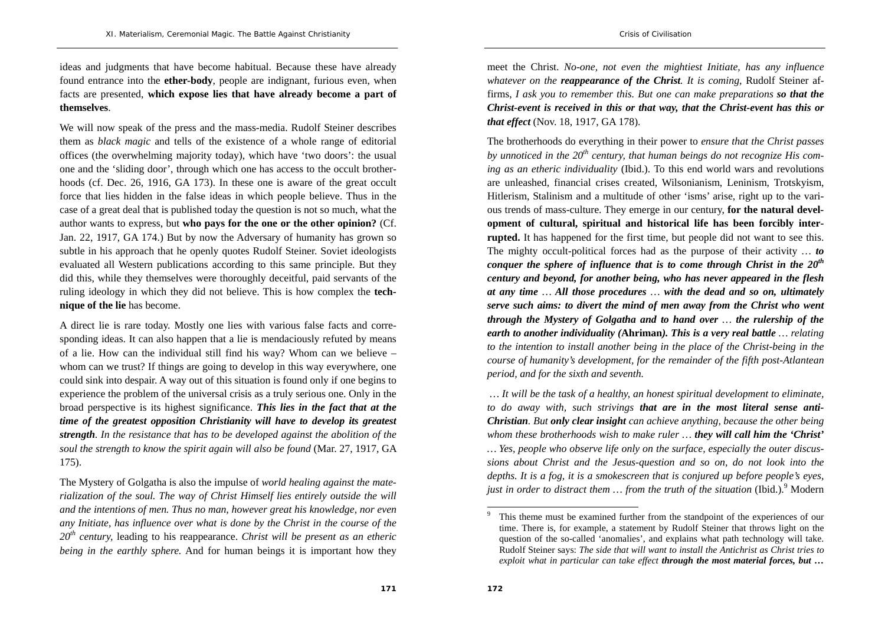ideas and judgments that have become habitual. Because these have already found entrance into the **ether-body**, people are indignant, furious even, when facts are presented, **which expose lies that have already become a part of themselves**.

We will now speak of the press and the mass-media. Rudolf Steiner describes them as *black magic* and tells of the existence of a whole range of editorial offices (the overwhelming majority today), which have 'two doors': the usual one and the 'sliding door', through which one has access to the occult brotherhoods (cf. Dec. 26, 1916, GA 173). In these one is aware of the great occult force that lies hidden in the false ideas in which people believe. Thus in the case of a great deal that is published today the question is not so much, what the author wants to express, but **who pays for the one or the other opinion?** (Cf. Jan. 22, 1917, GA 174.) But by now the Adversary of humanity has grown so subtle in his approach that he openly quotes Rudolf Steiner. Soviet ideologists evaluated all Western publications according to this same principle. But they did this, while they themselves were thoroughly deceitful, paid servants of the ruling ideology in which they did not believe. This is how complex the **technique of the lie** has become.

A direct lie is rare today. Mostly one lies with various false facts and corresponding ideas. It can also happen that a lie is mendaciously refuted by means of a lie. How can the individual still find his way? Whom can we believe – whom can we trust? If things are going to develop in this way everywhere, one could sink into despair. A way out of this situation is found only if one begins to experience the problem of the universal crisis as a truly serious one. Only in the broad perspective is its highest significance. *This lies in the fact that at the time of the greatest opposition Christianity will have to develop its greatest strength. In the resistance that has to be developed against the abolition of the soul the strength to know the spirit again will also be found* (Mar. 27, 1917, GA 175).

The Mystery of Golgatha is also the impulse of *world healing against the materialization of the soul. The way of Christ Himself lies entirely outside the will and the intentions of men. Thus no man, however great his knowledge, nor even any Initiate, has influence over what is done by the Christ in the course of the <sup>20</sup>th century,* leading to his reappearance. *Christ will be present as an etheric being in the earthly sphere.* And for human beings it is important how they

meet the Christ. *No-one, not even the mightiest Initiate, has any influence whatever on the reappearance of the Christ. It is coming,* Rudolf Steiner affirms, *I ask you to remember this. But one can make preparations so that the Christ-event is received in this or that way, that the Christ-event has this or that effect* (Nov. 18, 1917, GA 178).

The brotherhoods do everything in their power to *ensure that the Christ passes by unnoticed in the 20th century, that human beings do not recognize His coming as an etheric individuality* (Ibid.). To this end world wars and revolutions are unleashed, financial crises created, Wilsonianism, Leninism, Trotskyism, Hitlerism, Stalinism and a multitude of other 'isms' arise, right up to the various trends of mass-culture. They emerge in our century, **for the natural development of cultural, spiritual and historical life has been forcibly interrupted.** It has happened for the first time, but people did not want to see this. The mighty occult-political forces had as the purpose of their activity *… to conquer the sphere of influence that is to come through Christ in the 20th century and beyond, for another being, who has never appeared in the flesh at any time … All those procedures … with the dead and so on, ultimately serve such aims: to divert the mind of men away from the Christ who went through the Mystery of Golgatha and to hand over … the rulership of the earth to another individuality (***Ahriman***). This is a very real battle … relating to the intention to install another being in the place of the Christ-being in the course of humanity's development, for the remainder of the fifth post-Atlantean period, and for the sixth and seventh.* 

 *… It will be the task of a healthy, an honest spiritual development to eliminate, to do away with, such strivings that are in the most literal sense anti-Christian. But only clear insight can achieve anything, because the other being whom these brotherhoods wish to make ruler … they will call him the 'Christ' … Yes, people who observe life only on the surface, especially the outer discussions about Christ and the Jesus-question and so on, do not look into the depths. It is a fog, it is a smokescreen that is conjured up before people's eyes, just in order to distract them ... from the truth of the situation* (Ibid.).<sup>9</sup> Modern

This theme must be examined further from the standpoint of the experiences of our time. There is, for example, a statement by Rudolf Steiner that throws light on the question of the so-called 'anomalies', and explains what path technology will take. Rudolf Steiner says: *The side that will want to install the Antichrist as Christ tries to exploit what in particular can take effect through the most material forces, but …*